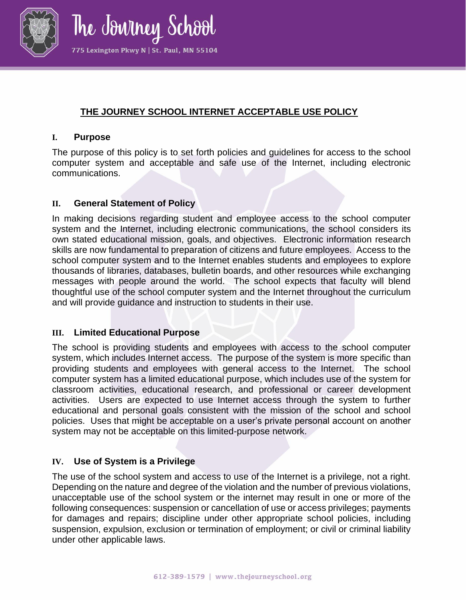

The Jowiney School 775 Lexington Pkwy N | St. Paul, MN 55104

# **THE JOURNEY SCHOOL INTERNET ACCEPTABLE USE POLICY**

### **I. Purpose**

The purpose of this policy is to set forth policies and guidelines for access to the school computer system and acceptable and safe use of the Internet, including electronic communications.

## **II. General Statement of Policy**

In making decisions regarding student and employee access to the school computer system and the Internet, including electronic communications, the school considers its own stated educational mission, goals, and objectives. Electronic information research skills are now fundamental to preparation of citizens and future employees. Access to the school computer system and to the Internet enables students and employees to explore thousands of libraries, databases, bulletin boards, and other resources while exchanging messages with people around the world. The school expects that faculty will blend thoughtful use of the school computer system and the Internet throughout the curriculum and will provide guidance and instruction to students in their use.

### **III. Limited Educational Purpose**

The school is providing students and employees with access to the school computer system, which includes Internet access. The purpose of the system is more specific than providing students and employees with general access to the Internet. The school computer system has a limited educational purpose, which includes use of the system for classroom activities, educational research, and professional or career development activities. Users are expected to use Internet access through the system to further educational and personal goals consistent with the mission of the school and school policies. Uses that might be acceptable on a user's private personal account on another system may not be acceptable on this limited-purpose network.

# **IV. Use of System is a Privilege**

The use of the school system and access to use of the Internet is a privilege, not a right. Depending on the nature and degree of the violation and the number of previous violations, unacceptable use of the school system or the internet may result in one or more of the following consequences: suspension or cancellation of use or access privileges; payments for damages and repairs; discipline under other appropriate school policies, including suspension, expulsion, exclusion or termination of employment; or civil or criminal liability under other applicable laws.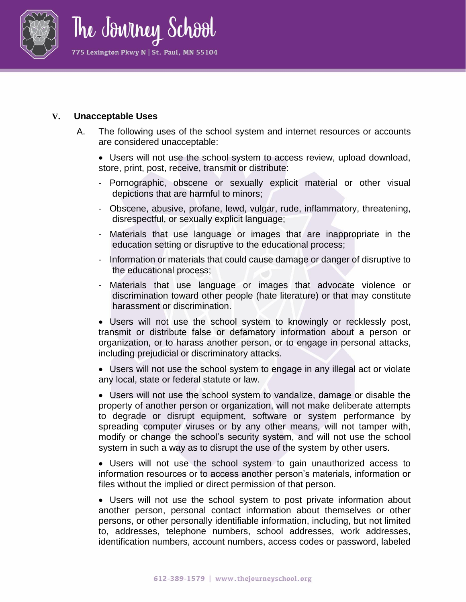

#### **V. Unacceptable Uses**

A. The following uses of the school system and internet resources or accounts are considered unacceptable:

• Users will not use the school system to access review, upload download, store, print, post, receive, transmit or distribute:

- Pornographic, obscene or sexually explicit material or other visual depictions that are harmful to minors;
- Obscene, abusive, profane, lewd, vulgar, rude, inflammatory, threatening, disrespectful, or sexually explicit language;
- Materials that use language or images that are inappropriate in the education setting or disruptive to the educational process;
- Information or materials that could cause damage or danger of disruptive to the educational process;
- Materials that use language or images that advocate violence or discrimination toward other people (hate literature) or that may constitute harassment or discrimination.

• Users will not use the school system to knowingly or recklessly post, transmit or distribute false or defamatory information about a person or organization, or to harass another person, or to engage in personal attacks, including prejudicial or discriminatory attacks.

• Users will not use the school system to engage in any illegal act or violate any local, state or federal statute or law.

• Users will not use the school system to vandalize, damage or disable the property of another person or organization, will not make deliberate attempts to degrade or disrupt equipment, software or system performance by spreading computer viruses or by any other means, will not tamper with, modify or change the school's security system, and will not use the school system in such a way as to disrupt the use of the system by other users.

• Users will not use the school system to gain unauthorized access to information resources or to access another person's materials, information or files without the implied or direct permission of that person.

• Users will not use the school system to post private information about another person, personal contact information about themselves or other persons, or other personally identifiable information, including, but not limited to, addresses, telephone numbers, school addresses, work addresses, identification numbers, account numbers, access codes or password, labeled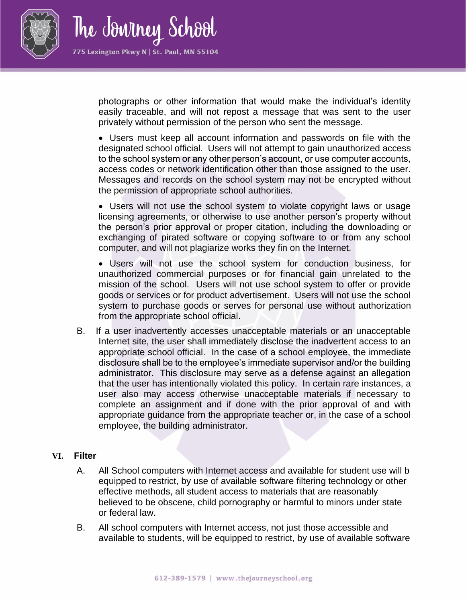

photographs or other information that would make the individual's identity easily traceable, and will not repost a message that was sent to the user privately without permission of the person who sent the message.

• Users must keep all account information and passwords on file with the designated school official. Users will not attempt to gain unauthorized access to the school system or any other person's account, or use computer accounts, access codes or network identification other than those assigned to the user. Messages and records on the school system may not be encrypted without the permission of appropriate school authorities.

• Users will not use the school system to violate copyright laws or usage licensing agreements, or otherwise to use another person's property without the person's prior approval or proper citation, including the downloading or exchanging of pirated software or copying software to or from any school computer, and will not plagiarize works they fin on the Internet.

• Users will not use the school system for conduction business, for unauthorized commercial purposes or for financial gain unrelated to the mission of the school. Users will not use school system to offer or provide goods or services or for product advertisement. Users will not use the school system to purchase goods or serves for personal use without authorization from the appropriate school official.

B. If a user inadvertently accesses unacceptable materials or an unacceptable Internet site, the user shall immediately disclose the inadvertent access to an appropriate school official. In the case of a school employee, the immediate disclosure shall be to the employee's immediate supervisor and/or the building administrator. This disclosure may serve as a defense against an allegation that the user has intentionally violated this policy. In certain rare instances, a user also may access otherwise unacceptable materials if necessary to complete an assignment and if done with the prior approval of and with appropriate guidance from the appropriate teacher or, in the case of a school employee, the building administrator.

#### **VI. Filter**

- A. All School computers with Internet access and available for student use will b equipped to restrict, by use of available software filtering technology or other effective methods, all student access to materials that are reasonably believed to be obscene, child pornography or harmful to minors under state or federal law.
- B. All school computers with Internet access, not just those accessible and available to students, will be equipped to restrict, by use of available software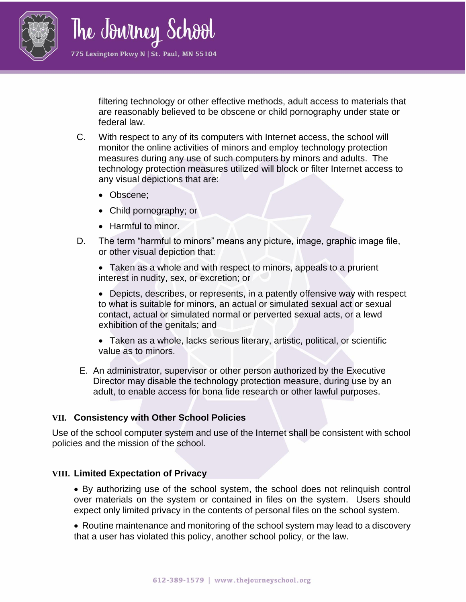

filtering technology or other effective methods, adult access to materials that are reasonably believed to be obscene or child pornography under state or federal law.

- C. With respect to any of its computers with Internet access, the school will monitor the online activities of minors and employ technology protection measures during any use of such computers by minors and adults. The technology protection measures utilized will block or filter Internet access to any visual depictions that are:
	- Obscene;
	- Child pornography; or
	- Harmful to minor.
- D. The term "harmful to minors" means any picture, image, graphic image file, or other visual depiction that:

• Taken as a whole and with respect to minors, appeals to a prurient interest in nudity, sex, or excretion; or

• Depicts, describes, or represents, in a patently offensive way with respect to what is suitable for minors, an actual or simulated sexual act or sexual contact, actual or simulated normal or perverted sexual acts, or a lewd exhibition of the genitals; and

- Taken as a whole, lacks serious literary, artistic, political, or scientific value as to minors.
- E. An administrator, supervisor or other person authorized by the Executive Director may disable the technology protection measure, during use by an adult, to enable access for bona fide research or other lawful purposes.

### **VII. Consistency with Other School Policies**

Use of the school computer system and use of the Internet shall be consistent with school policies and the mission of the school.

#### **VIII. Limited Expectation of Privacy**

• By authorizing use of the school system, the school does not relinquish control over materials on the system or contained in files on the system. Users should expect only limited privacy in the contents of personal files on the school system.

• Routine maintenance and monitoring of the school system may lead to a discovery that a user has violated this policy, another school policy, or the law.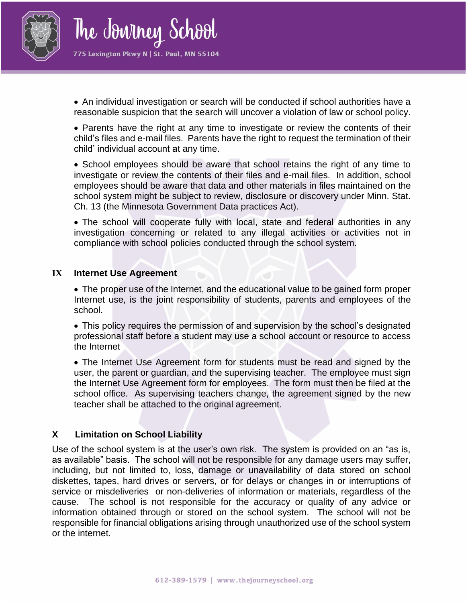

• An individual investigation or search will be conducted if school authorities have a reasonable suspicion that the search will uncover a violation of law or school policy.

• Parents have the right at any time to investigate or review the contents of their child's files and e-mail files. Parents have the right to request the termination of their child' individual account at any time.

• School employees should be aware that school retains the right of any time to investigate or review the contents of their files and e-mail files. In addition, school employees should be aware that data and other materials in files maintained on the school system might be subject to review, disclosure or discovery under Minn. Stat. Ch. 13 (the Minnesota Government Data practices Act).

• The school will cooperate fully with local, state and federal authorities in any investigation concerning or related to any illegal activities or activities not in compliance with school policies conducted through the school system.

#### **IX Internet Use Agreement**

• The proper use of the Internet, and the educational value to be gained form proper Internet use, is the joint responsibility of students, parents and employees of the school.

• This policy requires the permission of and supervision by the school's designated professional staff before a student may use a school account or resource to access the Internet

• The Internet Use Agreement form for students must be read and signed by the user, the parent or guardian, and the supervising teacher. The employee must sign the Internet Use Agreement form for employees. The form must then be filed at the school office. As supervising teachers change, the agreement signed by the new teacher shall be attached to the original agreement.

#### **X Limitation on School Liability**

Use of the school system is at the user's own risk. The system is provided on an "as is, as available" basis. The school will not be responsible for any damage users may suffer, including, but not limited to, loss, damage or unavailability of data stored on school diskettes, tapes, hard drives or servers, or for delays or changes in or interruptions of service or misdeliveries or non-deliveries of information or materials, regardless of the cause. The school is not responsible for the accuracy or quality of any advice or information obtained through or stored on the school system. The school will not be responsible for financial obligations arising through unauthorized use of the school system or the internet.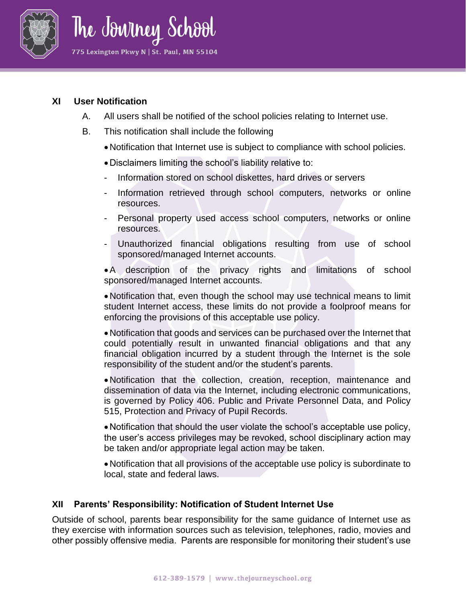

### **XI User Notification**

- A. All users shall be notified of the school policies relating to Internet use.
- B. This notification shall include the following
	- •Notification that Internet use is subject to compliance with school policies.
	- •Disclaimers limiting the school's liability relative to:
	- Information stored on school diskettes, hard drives or servers
	- Information retrieved through school computers, networks or online resources.
	- Personal property used access school computers, networks or online resources.
	- Unauthorized financial obligations resulting from use of school sponsored/managed Internet accounts.

•A description of the privacy rights and limitations of school sponsored/managed Internet accounts.

•Notification that, even though the school may use technical means to limit student Internet access, these limits do not provide a foolproof means for enforcing the provisions of this acceptable use policy.

•Notification that goods and services can be purchased over the Internet that could potentially result in unwanted financial obligations and that any financial obligation incurred by a student through the Internet is the sole responsibility of the student and/or the student's parents.

•Notification that the collection, creation, reception, maintenance and dissemination of data via the Internet, including electronic communications, is governed by Policy 406. Public and Private Personnel Data, and Policy 515, Protection and Privacy of Pupil Records.

•Notification that should the user violate the school's acceptable use policy, the user's access privileges may be revoked, school disciplinary action may be taken and/or appropriate legal action may be taken.

•Notification that all provisions of the acceptable use policy is subordinate to local, state and federal laws.

# **XII Parents' Responsibility: Notification of Student Internet Use**

Outside of school, parents bear responsibility for the same guidance of Internet use as they exercise with information sources such as television, telephones, radio, movies and other possibly offensive media. Parents are responsible for monitoring their student's use